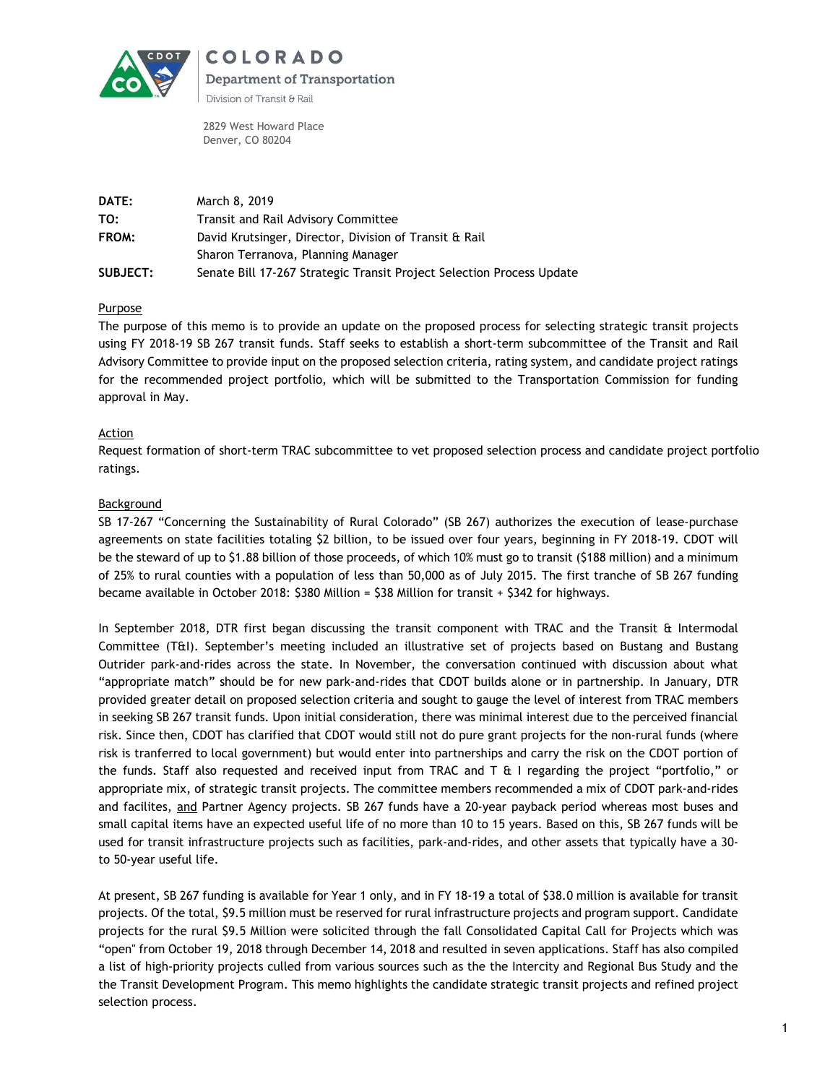

COLORADO **Department of Transportation** Division of Transit & Rail

2829 West Howard Place Denver, CO 80204

| DATE:           | March 8, 2019                                                         |
|-----------------|-----------------------------------------------------------------------|
| TO:             | Transit and Rail Advisory Committee                                   |
| FROM:           | David Krutsinger, Director, Division of Transit & Rail                |
|                 | Sharon Terranova, Planning Manager                                    |
| <b>SUBJECT:</b> | Senate Bill 17-267 Strategic Transit Project Selection Process Update |

## **Purpose**

The purpose of this memo is to provide an update on the proposed process for selecting strategic transit projects using FY 2018-19 SB 267 transit funds. Staff seeks to establish a short-term subcommittee of the Transit and Rail Advisory Committee to provide input on the proposed selection criteria, rating system, and candidate project ratings for the recommended project portfolio, which will be submitted to the Transportation Commission for funding approval in May.

## Action

Request formation of short-term TRAC subcommittee to vet proposed selection process and candidate project portfolio ratings.

# **Background**

SB 17-267 "Concerning the Sustainability of Rural Colorado" (SB 267) authorizes the execution of lease-purchase agreements on state facilities totaling \$2 billion, to be issued over four years, beginning in FY 2018-19. CDOT will be the steward of up to \$1.88 billion of those proceeds, of which 10% must go to transit (\$188 million) and a minimum of 25% to rural counties with a population of less than 50,000 as of July 2015. The first tranche of SB 267 funding became available in October 2018: \$380 Million = \$38 Million for transit + \$342 for highways.

In September 2018, DTR first began discussing the transit component with TRAC and the Transit & Intermodal Committee (T&I). September's meeting included an illustrative set of projects based on Bustang and Bustang Outrider park-and-rides across the state. In November, the conversation continued with discussion about what "appropriate match" should be for new park-and-rides that CDOT builds alone or in partnership. In January, DTR provided greater detail on proposed selection criteria and sought to gauge the level of interest from TRAC members in seeking SB 267 transit funds. Upon initial consideration, there was minimal interest due to the perceived financial risk. Since then, CDOT has clarified that CDOT would still not do pure grant projects for the non-rural funds (where risk is tranferred to local government) but would enter into partnerships and carry the risk on the CDOT portion of the funds. Staff also requested and received input from TRAC and T & I regarding the project "portfolio," or appropriate mix, of strategic transit projects. The committee members recommended a mix of CDOT park-and-rides and facilites, and Partner Agency projects. SB 267 funds have a 20-year payback period whereas most buses and small capital items have an expected useful life of no more than 10 to 15 years. Based on this, SB 267 funds will be used for transit infrastructure projects such as facilities, park-and-rides, and other assets that typically have a 30 to 50-year useful life.

At present, SB 267 funding is available for Year 1 only, and in FY 18-19 a total of \$38.0 million is available for transit projects. Of the total, \$9.5 million must be reserved for rural infrastructure projects and program support. Candidate projects for the rural \$9.5 Million were solicited through the fall Consolidated Capital Call for Projects which was "open" from October 19, 2018 through December 14, 2018 and resulted in seven applications. Staff has also compiled a list of high-priority projects culled from various sources such as the the Intercity and Regional Bus Study and the the Transit Development Program. This memo highlights the candidate strategic transit projects and refined project selection process.